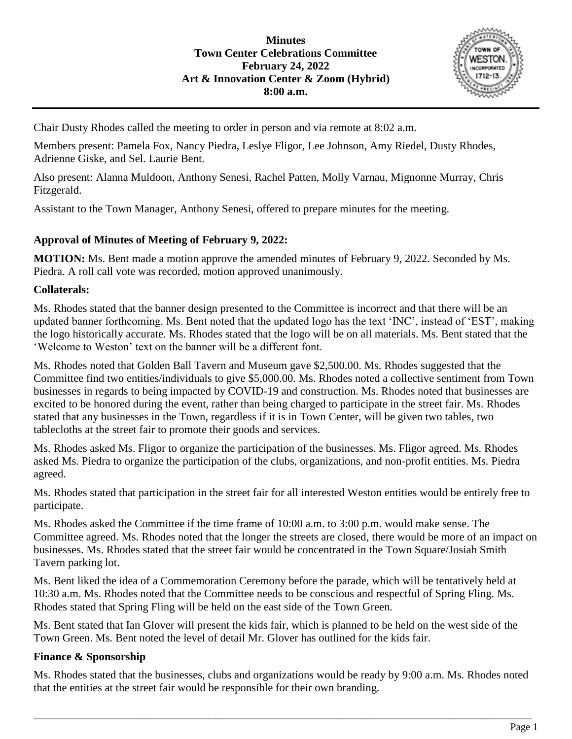

Chair Dusty Rhodes called the meeting to order in person and via remote at 8:02 a.m.

Members present: Pamela Fox, Nancy Piedra, Leslye Fligor, Lee Johnson, Amy Riedel, Dusty Rhodes, Adrienne Giske, and Sel. Laurie Bent.

Also present: Alanna Muldoon, Anthony Senesi, Rachel Patten, Molly Varnau, Mignonne Murray, Chris Fitzgerald.

Assistant to the Town Manager, Anthony Senesi, offered to prepare minutes for the meeting.

## **Approval of Minutes of Meeting of February 9, 2022:**

**MOTION:** Ms. Bent made a motion approve the amended minutes of February 9, 2022. Seconded by Ms. Piedra. A roll call vote was recorded, motion approved unanimously.

## **Collaterals:**

Ms. Rhodes stated that the banner design presented to the Committee is incorrect and that there will be an updated banner forthcoming. Ms. Bent noted that the updated logo has the text 'INC', instead of 'EST', making the logo historically accurate. Ms. Rhodes stated that the logo will be on all materials. Ms. Bent stated that the 'Welcome to Weston' text on the banner will be a different font.

Ms. Rhodes noted that Golden Ball Tavern and Museum gave \$2,500.00. Ms. Rhodes suggested that the Committee find two entities/individuals to give \$5,000.00. Ms. Rhodes noted a collective sentiment from Town businesses in regards to being impacted by COVID-19 and construction. Ms. Rhodes noted that businesses are excited to be honored during the event, rather than being charged to participate in the street fair. Ms. Rhodes stated that any businesses in the Town, regardless if it is in Town Center, will be given two tables, two tablecloths at the street fair to promote their goods and services.

Ms. Rhodes asked Ms. Fligor to organize the participation of the businesses. Ms. Fligor agreed. Ms. Rhodes asked Ms. Piedra to organize the participation of the clubs, organizations, and non-profit entities. Ms. Piedra agreed.

Ms. Rhodes stated that participation in the street fair for all interested Weston entities would be entirely free to participate.

Ms. Rhodes asked the Committee if the time frame of 10:00 a.m. to 3:00 p.m. would make sense. The Committee agreed. Ms. Rhodes noted that the longer the streets are closed, there would be more of an impact on businesses. Ms. Rhodes stated that the street fair would be concentrated in the Town Square/Josiah Smith Tavern parking lot.

Ms. Bent liked the idea of a Commemoration Ceremony before the parade, which will be tentatively held at 10:30 a.m. Ms. Rhodes noted that the Committee needs to be conscious and respectful of Spring Fling. Ms. Rhodes stated that Spring Fling will be held on the east side of the Town Green.

Ms. Bent stated that Ian Glover will present the kids fair, which is planned to be held on the west side of the Town Green. Ms. Bent noted the level of detail Mr. Glover has outlined for the kids fair.

## **Finance & Sponsorship**

Ms. Rhodes stated that the businesses, clubs and organizations would be ready by 9:00 a.m. Ms. Rhodes noted that the entities at the street fair would be responsible for their own branding.

\_\_\_\_\_\_\_\_\_\_\_\_\_\_\_\_\_\_\_\_\_\_\_\_\_\_\_\_\_\_\_\_\_\_\_\_\_\_\_\_\_\_\_\_\_\_\_\_\_\_\_\_\_\_\_\_\_\_\_\_\_\_\_\_\_\_\_\_\_\_\_\_\_\_\_\_\_\_\_\_\_\_\_\_\_\_\_\_\_\_\_\_\_\_\_\_\_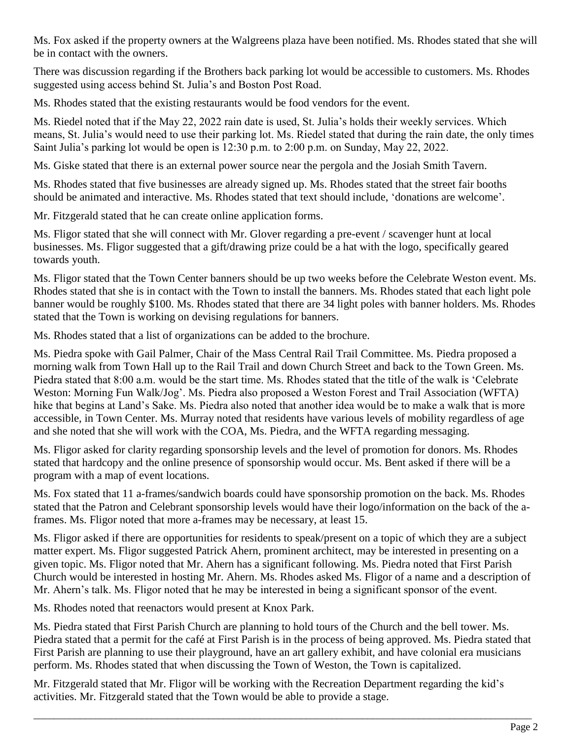Ms. Fox asked if the property owners at the Walgreens plaza have been notified. Ms. Rhodes stated that she will be in contact with the owners.

There was discussion regarding if the Brothers back parking lot would be accessible to customers. Ms. Rhodes suggested using access behind St. Julia's and Boston Post Road.

Ms. Rhodes stated that the existing restaurants would be food vendors for the event.

Ms. Riedel noted that if the May 22, 2022 rain date is used, St. Julia's holds their weekly services. Which means, St. Julia's would need to use their parking lot. Ms. Riedel stated that during the rain date, the only times Saint Julia's parking lot would be open is 12:30 p.m. to 2:00 p.m. on Sunday, May 22, 2022.

Ms. Giske stated that there is an external power source near the pergola and the Josiah Smith Tavern.

Ms. Rhodes stated that five businesses are already signed up. Ms. Rhodes stated that the street fair booths should be animated and interactive. Ms. Rhodes stated that text should include, 'donations are welcome'.

Mr. Fitzgerald stated that he can create online application forms.

Ms. Fligor stated that she will connect with Mr. Glover regarding a pre-event / scavenger hunt at local businesses. Ms. Fligor suggested that a gift/drawing prize could be a hat with the logo, specifically geared towards youth.

Ms. Fligor stated that the Town Center banners should be up two weeks before the Celebrate Weston event. Ms. Rhodes stated that she is in contact with the Town to install the banners. Ms. Rhodes stated that each light pole banner would be roughly \$100. Ms. Rhodes stated that there are 34 light poles with banner holders. Ms. Rhodes stated that the Town is working on devising regulations for banners.

Ms. Rhodes stated that a list of organizations can be added to the brochure.

Ms. Piedra spoke with Gail Palmer, Chair of the Mass Central Rail Trail Committee. Ms. Piedra proposed a morning walk from Town Hall up to the Rail Trail and down Church Street and back to the Town Green. Ms. Piedra stated that 8:00 a.m. would be the start time. Ms. Rhodes stated that the title of the walk is 'Celebrate Weston: Morning Fun Walk/Jog'. Ms. Piedra also proposed a Weston Forest and Trail Association (WFTA) hike that begins at Land's Sake. Ms. Piedra also noted that another idea would be to make a walk that is more accessible, in Town Center. Ms. Murray noted that residents have various levels of mobility regardless of age and she noted that she will work with the COA, Ms. Piedra, and the WFTA regarding messaging.

Ms. Fligor asked for clarity regarding sponsorship levels and the level of promotion for donors. Ms. Rhodes stated that hardcopy and the online presence of sponsorship would occur. Ms. Bent asked if there will be a program with a map of event locations.

Ms. Fox stated that 11 a-frames/sandwich boards could have sponsorship promotion on the back. Ms. Rhodes stated that the Patron and Celebrant sponsorship levels would have their logo/information on the back of the aframes. Ms. Fligor noted that more a-frames may be necessary, at least 15.

Ms. Fligor asked if there are opportunities for residents to speak/present on a topic of which they are a subject matter expert. Ms. Fligor suggested Patrick Ahern, prominent architect, may be interested in presenting on a given topic. Ms. Fligor noted that Mr. Ahern has a significant following. Ms. Piedra noted that First Parish Church would be interested in hosting Mr. Ahern. Ms. Rhodes asked Ms. Fligor of a name and a description of Mr. Ahern's talk. Ms. Fligor noted that he may be interested in being a significant sponsor of the event.

Ms. Rhodes noted that reenactors would present at Knox Park.

Ms. Piedra stated that First Parish Church are planning to hold tours of the Church and the bell tower. Ms. Piedra stated that a permit for the café at First Parish is in the process of being approved. Ms. Piedra stated that First Parish are planning to use their playground, have an art gallery exhibit, and have colonial era musicians perform. Ms. Rhodes stated that when discussing the Town of Weston, the Town is capitalized.

\_\_\_\_\_\_\_\_\_\_\_\_\_\_\_\_\_\_\_\_\_\_\_\_\_\_\_\_\_\_\_\_\_\_\_\_\_\_\_\_\_\_\_\_\_\_\_\_\_\_\_\_\_\_\_\_\_\_\_\_\_\_\_\_\_\_\_\_\_\_\_\_\_\_\_\_\_\_\_\_\_\_\_\_\_\_\_\_\_\_\_\_\_\_\_\_\_

Mr. Fitzgerald stated that Mr. Fligor will be working with the Recreation Department regarding the kid's activities. Mr. Fitzgerald stated that the Town would be able to provide a stage.